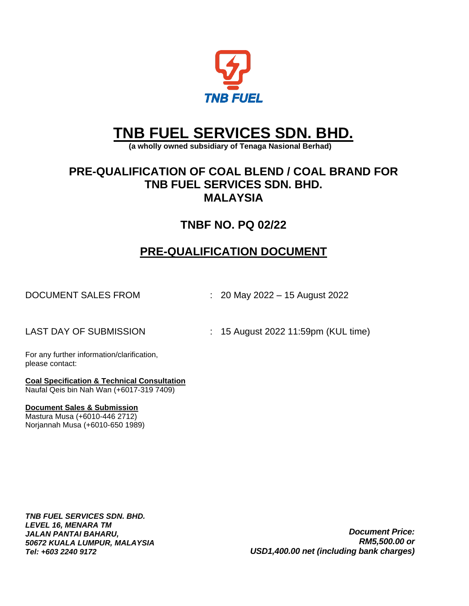

# **TNB FUEL SERVICES SDN. BHD.**

 **(a wholly owned subsidiary of Tenaga Nasional Berhad)**

# **PRE-QUALIFICATION OF COAL BLEND / COAL BRAND FOR TNB FUEL SERVICES SDN. BHD. MALAYSIA**

# **TNBF NO. PQ 02/22**

# **PRE-QUALIFICATION DOCUMENT**

DOCUMENT SALES FROM : 20 May 2022 – 15 August 2022

LAST DAY OF SUBMISSION : 15 August 2022 11:59pm (KUL time)

For any further information/clarification, please contact:

**Coal Specification & Technical Consultation**  Naufal Qeis bin Nah Wan (+6017-319 7409)

#### **Document Sales & Submission**

Mastura Musa (+6010-446 2712) Norjannah Musa (+6010-650 1989)

*TNB FUEL SERVICES SDN. BHD. LEVEL 16, MENARA TM JALAN PANTAI BAHARU, 50672 KUALA LUMPUR, MALAYSIA Tel: +603 2240 9172*

*Document Price: RM5,500.00 or USD1,400.00 net (including bank charges)*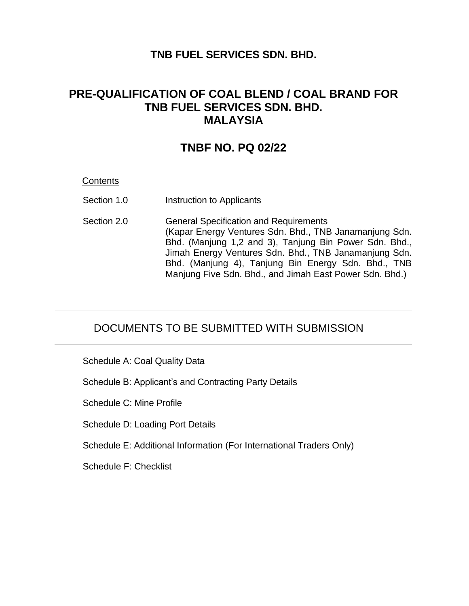### **TNB FUEL SERVICES SDN. BHD.**

## **PRE-QUALIFICATION OF COAL BLEND / COAL BRAND FOR TNB FUEL SERVICES SDN. BHD. MALAYSIA**

### **TNBF NO. PQ 02/22**

#### **Contents**

- Section 1.0 **Instruction to Applicants**
- Section 2.0 General Specification and Requirements (Kapar Energy Ventures Sdn. Bhd., TNB Janamanjung Sdn. Bhd. (Manjung 1,2 and 3), Tanjung Bin Power Sdn. Bhd., Jimah Energy Ventures Sdn. Bhd., TNB Janamanjung Sdn. Bhd. (Manjung 4), Tanjung Bin Energy Sdn. Bhd., TNB Manjung Five Sdn. Bhd., and Jimah East Power Sdn. Bhd.)

### DOCUMENTS TO BE SUBMITTED WITH SUBMISSION

Schedule A: Coal Quality Data

Schedule B: Applicant's and Contracting Party Details

Schedule C: Mine Profile

Schedule D: Loading Port Details

Schedule E: Additional Information (For International Traders Only)

Schedule F: Checklist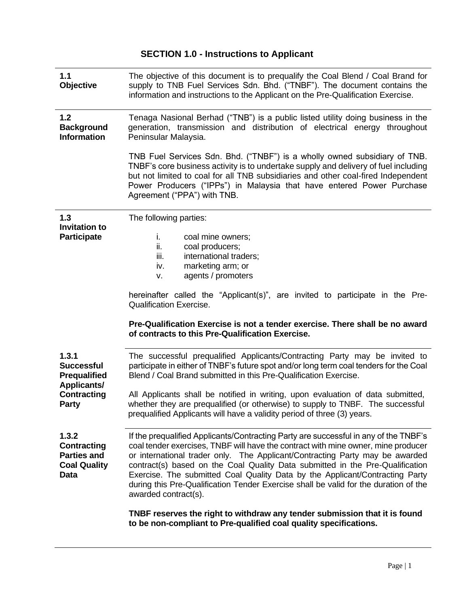| 1.1<br><b>Objective</b>                                                                                       | The objective of this document is to prequalify the Coal Blend / Coal Brand for<br>supply to TNB Fuel Services Sdn. Bhd. ("TNBF"). The document contains the<br>information and instructions to the Applicant on the Pre-Qualification Exercise.                                                                                                                                                                                                                                                                                           |
|---------------------------------------------------------------------------------------------------------------|--------------------------------------------------------------------------------------------------------------------------------------------------------------------------------------------------------------------------------------------------------------------------------------------------------------------------------------------------------------------------------------------------------------------------------------------------------------------------------------------------------------------------------------------|
| 1.2<br><b>Background</b><br><b>Information</b>                                                                | Tenaga Nasional Berhad ("TNB") is a public listed utility doing business in the<br>generation, transmission and distribution of electrical energy throughout<br>Peninsular Malaysia.                                                                                                                                                                                                                                                                                                                                                       |
|                                                                                                               | TNB Fuel Services Sdn. Bhd. ("TNBF") is a wholly owned subsidiary of TNB.<br>TNBF's core business activity is to undertake supply and delivery of fuel including<br>but not limited to coal for all TNB subsidiaries and other coal-fired Independent<br>Power Producers ("IPPs") in Malaysia that have entered Power Purchase<br>Agreement ("PPA") with TNB.                                                                                                                                                                              |
| 1.3<br><b>Invitation to</b><br><b>Participate</b>                                                             | The following parties:<br>i.<br>coal mine owners;<br>ii.<br>coal producers;<br>iii.<br>international traders;<br>marketing arm; or<br>iv.<br>agents / promoters<br>V.<br>hereinafter called the "Applicant(s)", are invited to participate in the Pre-<br><b>Qualification Exercise.</b><br>Pre-Qualification Exercise is not a tender exercise. There shall be no award<br>of contracts to this Pre-Qualification Exercise.                                                                                                               |
| 1.3.1<br><b>Successful</b><br><b>Prequalified</b><br><b>Applicants/</b><br><b>Contracting</b><br><b>Party</b> | The successful prequalified Applicants/Contracting Party may be invited to<br>participate in either of TNBF's future spot and/or long term coal tenders for the Coal<br>Blend / Coal Brand submitted in this Pre-Qualification Exercise.<br>All Applicants shall be notified in writing, upon evaluation of data submitted,<br>whether they are prequalified (or otherwise) to supply to TNBF. The successful<br>prequalified Applicants will have a validity period of three (3) years.                                                   |
| 1.3.2<br>Contracting<br><b>Parties and</b><br><b>Coal Quality</b><br>Data                                     | If the prequalified Applicants/Contracting Party are successful in any of the TNBF's<br>coal tender exercises, TNBF will have the contract with mine owner, mine producer<br>or international trader only. The Applicant/Contracting Party may be awarded<br>contract(s) based on the Coal Quality Data submitted in the Pre-Qualification<br>Exercise. The submitted Coal Quality Data by the Applicant/Contracting Party<br>during this Pre-Qualification Tender Exercise shall be valid for the duration of the<br>awarded contract(s). |
|                                                                                                               | TNBF reserves the right to withdraw any tender submission that it is found<br>to be non-compliant to Pre-qualified coal quality specifications.                                                                                                                                                                                                                                                                                                                                                                                            |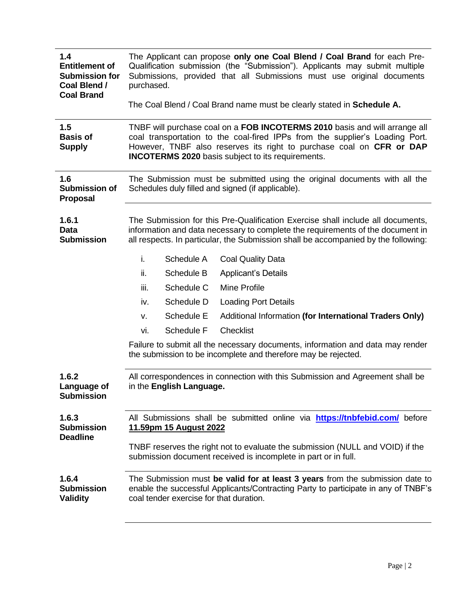| 1.4<br><b>Entitlement of</b><br><b>Submission for</b><br>Coal Blend /<br><b>Coal Brand</b> | purchased. |                                         | The Applicant can propose only one Coal Blend / Coal Brand for each Pre-<br>Qualification submission (the "Submission"). Applicants may submit multiple<br>Submissions, provided that all Submissions must use original documents                                                              |
|--------------------------------------------------------------------------------------------|------------|-----------------------------------------|------------------------------------------------------------------------------------------------------------------------------------------------------------------------------------------------------------------------------------------------------------------------------------------------|
|                                                                                            |            |                                         | The Coal Blend / Coal Brand name must be clearly stated in Schedule A.                                                                                                                                                                                                                         |
| 1.5<br><b>Basis of</b><br><b>Supply</b>                                                    |            |                                         | TNBF will purchase coal on a FOB INCOTERMS 2010 basis and will arrange all<br>coal transportation to the coal-fired IPPs from the supplier's Loading Port.<br>However, TNBF also reserves its right to purchase coal on CFR or DAP<br><b>INCOTERMS 2020</b> basis subject to its requirements. |
| 1.6<br><b>Submission of</b><br>Proposal                                                    |            |                                         | The Submission must be submitted using the original documents with all the<br>Schedules duly filled and signed (if applicable).                                                                                                                                                                |
| 1.6.1<br><b>Data</b><br><b>Submission</b>                                                  |            |                                         | The Submission for this Pre-Qualification Exercise shall include all documents,<br>information and data necessary to complete the requirements of the document in<br>all respects. In particular, the Submission shall be accompanied by the following:                                        |
|                                                                                            | i.         | Schedule A                              | <b>Coal Quality Data</b>                                                                                                                                                                                                                                                                       |
|                                                                                            | ii.        | Schedule B                              | <b>Applicant's Details</b>                                                                                                                                                                                                                                                                     |
|                                                                                            | iii.       | Schedule C                              | <b>Mine Profile</b>                                                                                                                                                                                                                                                                            |
|                                                                                            | iv.        | Schedule D                              | <b>Loading Port Details</b>                                                                                                                                                                                                                                                                    |
|                                                                                            | V.         | Schedule E                              | Additional Information (for International Traders Only)                                                                                                                                                                                                                                        |
|                                                                                            | vi.        | Schedule F                              | <b>Checklist</b>                                                                                                                                                                                                                                                                               |
|                                                                                            |            |                                         | Failure to submit all the necessary documents, information and data may render<br>the submission to be incomplete and therefore may be rejected.                                                                                                                                               |
| 1.6.2<br>Language of<br><b>Submission</b>                                                  |            | in the English Language.                | All correspondences in connection with this Submission and Agreement shall be                                                                                                                                                                                                                  |
| 1.6.3<br><b>Submission</b><br><b>Deadline</b>                                              |            | 11.59pm 15 August 2022                  | All Submissions shall be submitted online via <b>https://tnbfebid.com/</b> before                                                                                                                                                                                                              |
|                                                                                            |            |                                         | TNBF reserves the right not to evaluate the submission (NULL and VOID) if the<br>submission document received is incomplete in part or in full.                                                                                                                                                |
| 1.6.4<br><b>Submission</b><br><b>Validity</b>                                              |            | coal tender exercise for that duration. | The Submission must be valid for at least 3 years from the submission date to<br>enable the successful Applicants/Contracting Party to participate in any of TNBF's                                                                                                                            |
|                                                                                            |            |                                         |                                                                                                                                                                                                                                                                                                |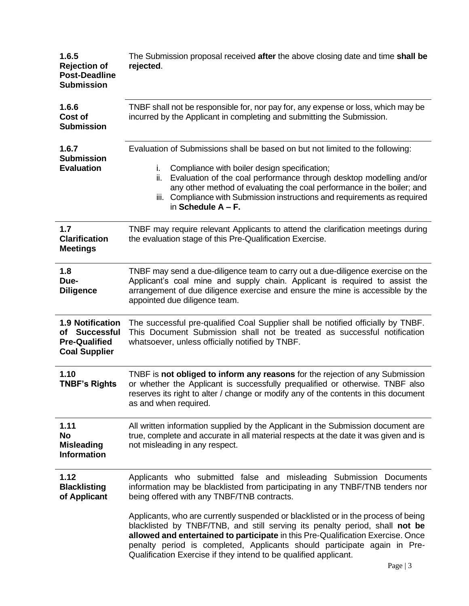| 1.6.5<br><b>Rejection of</b><br><b>Post-Deadline</b><br><b>Submission</b>                | The Submission proposal received after the above closing date and time shall be<br>rejected.                                                                                                                                                                                                                                                                                                        |
|------------------------------------------------------------------------------------------|-----------------------------------------------------------------------------------------------------------------------------------------------------------------------------------------------------------------------------------------------------------------------------------------------------------------------------------------------------------------------------------------------------|
| 1.6.6<br><b>Cost of</b><br><b>Submission</b>                                             | TNBF shall not be responsible for, nor pay for, any expense or loss, which may be<br>incurred by the Applicant in completing and submitting the Submission.                                                                                                                                                                                                                                         |
| 1.6.7<br><b>Submission</b><br><b>Evaluation</b>                                          | Evaluation of Submissions shall be based on but not limited to the following:<br>Compliance with boiler design specification;<br>i.<br>Evaluation of the coal performance through desktop modelling and/or<br>ii.<br>any other method of evaluating the coal performance in the boiler; and<br>iii. Compliance with Submission instructions and requirements as required<br>in Schedule $A - F$ .   |
| 1.7<br><b>Clarification</b><br><b>Meetings</b>                                           | TNBF may require relevant Applicants to attend the clarification meetings during<br>the evaluation stage of this Pre-Qualification Exercise.                                                                                                                                                                                                                                                        |
| 1.8<br>Due-<br><b>Diligence</b>                                                          | TNBF may send a due-diligence team to carry out a due-diligence exercise on the<br>Applicant's coal mine and supply chain. Applicant is required to assist the<br>arrangement of due diligence exercise and ensure the mine is accessible by the<br>appointed due diligence team.                                                                                                                   |
| <b>1.9 Notification</b><br>of Successful<br><b>Pre-Qualified</b><br><b>Coal Supplier</b> | The successful pre-qualified Coal Supplier shall be notified officially by TNBF.<br>This Document Submission shall not be treated as successful notification<br>whatsoever, unless officially notified by TNBF.                                                                                                                                                                                     |
| 1.10<br><b>TNBF's Rights</b>                                                             | TNBF is not obliged to inform any reasons for the rejection of any Submission<br>or whether the Applicant is successfully prequalified or otherwise. TNBF also<br>reserves its right to alter / change or modify any of the contents in this document<br>as and when required.                                                                                                                      |
| 1.11<br>No<br><b>Misleading</b><br><b>Information</b>                                    | All written information supplied by the Applicant in the Submission document are<br>true, complete and accurate in all material respects at the date it was given and is<br>not misleading in any respect.                                                                                                                                                                                          |
| 1.12<br><b>Blacklisting</b><br>of Applicant                                              | Applicants who submitted false and misleading Submission Documents<br>information may be blacklisted from participating in any TNBF/TNB tenders nor<br>being offered with any TNBF/TNB contracts.                                                                                                                                                                                                   |
|                                                                                          | Applicants, who are currently suspended or blacklisted or in the process of being<br>blacklisted by TNBF/TNB, and still serving its penalty period, shall not be<br>allowed and entertained to participate in this Pre-Qualification Exercise. Once<br>penalty period is completed, Applicants should participate again in Pre-<br>Qualification Exercise if they intend to be qualified applicant. |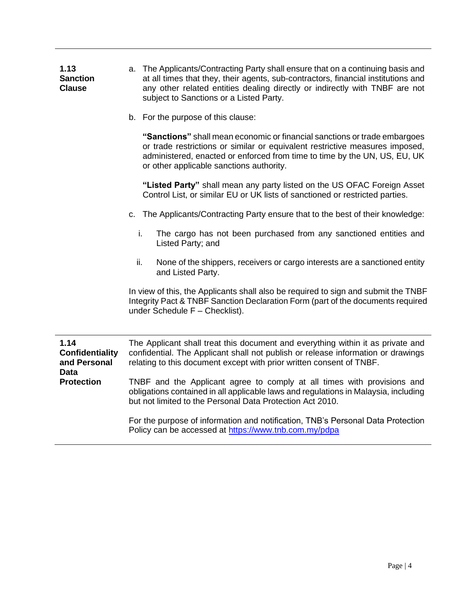| 1.13            | a. The Applicants/Contracting Party shall ensure that on a continuing basis and   |
|-----------------|-----------------------------------------------------------------------------------|
| <b>Sanction</b> | at all times that they, their agents, sub-contractors, financial institutions and |
| <b>Clause</b>   | any other related entities dealing directly or indirectly with TNBF are not       |
|                 | subject to Sanctions or a Listed Party.                                           |

b. For the purpose of this clause:

**"Sanctions"** shall mean economic or financial sanctions or trade embargoes or trade restrictions or similar or equivalent restrictive measures imposed, administered, enacted or enforced from time to time by the UN, US, EU, UK or other applicable sanctions authority.

**"Listed Party"** shall mean any party listed on the US OFAC Foreign Asset Control List, or similar EU or UK lists of sanctioned or restricted parties.

- c. The Applicants/Contracting Party ensure that to the best of their knowledge:
	- i. The cargo has not been purchased from any sanctioned entities and Listed Party; and
	- ii. None of the shippers, receivers or cargo interests are a sanctioned entity and Listed Party.

In view of this, the Applicants shall also be required to sign and submit the TNBF Integrity Pact & TNBF Sanction Declaration Form (part of the documents required under Schedule F – Checklist).

**1.14 Confidentiality and Personal Data Protection** The Applicant shall treat this document and everything within it as private and confidential. The Applicant shall not publish or release information or drawings relating to this document except with prior written consent of TNBF. TNBF and the Applicant agree to comply at all times with provisions and obligations contained in all applicable laws and regulations in Malaysia, including but not limited to the Personal Data Protection Act 2010.

> For the purpose of information and notification, TNB's Personal Data Protection Policy can be accessed at<https://www.tnb.com.my/pdpa>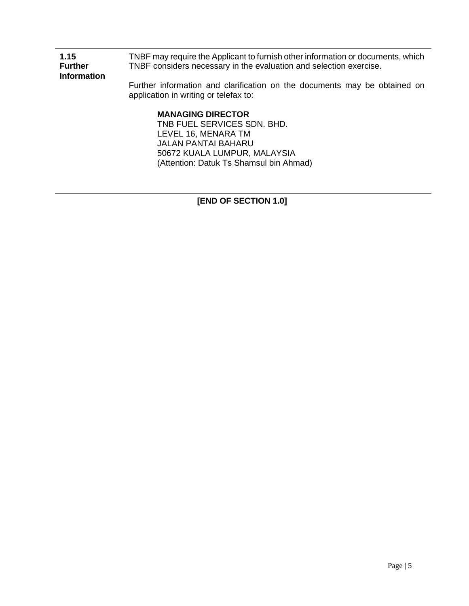| 1.15<br><b>Further</b><br><b>Information</b> | TNBF may require the Applicant to furnish other information or documents, which<br>TNBF considers necessary in the evaluation and selection exercise. |
|----------------------------------------------|-------------------------------------------------------------------------------------------------------------------------------------------------------|
|                                              | Further information and clarification on the documents may be obtained on<br>application in writing or telefax to:                                    |
|                                              | <b>MANAGING DIRECTOR</b>                                                                                                                              |
|                                              | TNB FUEL SERVICES SDN. BHD.                                                                                                                           |
|                                              | LEVEL 16, MENARA TM                                                                                                                                   |
|                                              | <b>JALAN PANTAI BAHARU</b>                                                                                                                            |
|                                              | 50672 KUALA LUMPUR, MALAYSIA                                                                                                                          |

(Attention: Datuk Ts Shamsul bin Ahmad)

**[END OF SECTION 1.0]**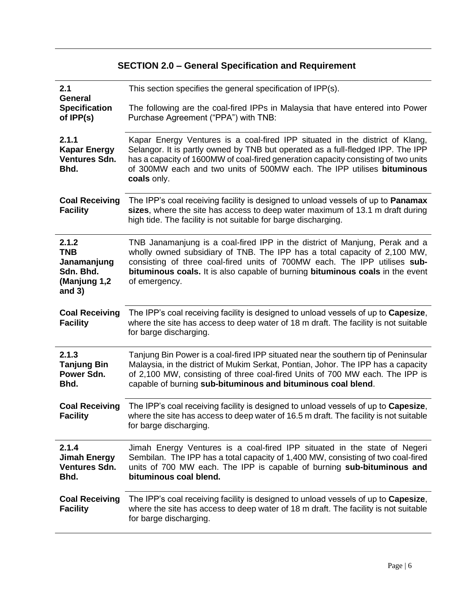# **SECTION 2.0 – General Specification and Requirement**

| 2.1<br><b>General</b>                                                       | This section specifies the general specification of IPP(s).                                                                                                                                                                                                                                                                                    |
|-----------------------------------------------------------------------------|------------------------------------------------------------------------------------------------------------------------------------------------------------------------------------------------------------------------------------------------------------------------------------------------------------------------------------------------|
| <b>Specification</b><br>of IPP(s)                                           | The following are the coal-fired IPPs in Malaysia that have entered into Power<br>Purchase Agreement ("PPA") with TNB:                                                                                                                                                                                                                         |
| 2.1.1<br><b>Kapar Energy</b><br>Ventures Sdn.<br>Bhd.                       | Kapar Energy Ventures is a coal-fired IPP situated in the district of Klang,<br>Selangor. It is partly owned by TNB but operated as a full-fledged IPP. The IPP<br>has a capacity of 1600MW of coal-fired generation capacity consisting of two units<br>of 300MW each and two units of 500MW each. The IPP utilises bituminous<br>coals only. |
| <b>Coal Receiving</b><br><b>Facility</b>                                    | The IPP's coal receiving facility is designed to unload vessels of up to <b>Panamax</b><br>sizes, where the site has access to deep water maximum of 13.1 m draft during<br>high tide. The facility is not suitable for barge discharging.                                                                                                     |
| 2.1.2<br><b>TNB</b><br>Janamanjung<br>Sdn. Bhd.<br>(Manjung 1,2<br>and $3)$ | TNB Janamanjung is a coal-fired IPP in the district of Manjung, Perak and a<br>wholly owned subsidiary of TNB. The IPP has a total capacity of 2,100 MW,<br>consisting of three coal-fired units of 700MW each. The IPP utilises sub-<br>bituminous coals. It is also capable of burning bituminous coals in the event<br>of emergency.        |
| <b>Coal Receiving</b><br><b>Facility</b>                                    | The IPP's coal receiving facility is designed to unload vessels of up to <b>Capesize</b> ,<br>where the site has access to deep water of 18 m draft. The facility is not suitable<br>for barge discharging.                                                                                                                                    |
| 2.1.3<br><b>Tanjung Bin</b><br>Power Sdn.<br>Bhd.                           | Tanjung Bin Power is a coal-fired IPP situated near the southern tip of Peninsular<br>Malaysia, in the district of Mukim Serkat, Pontian, Johor. The IPP has a capacity<br>of 2,100 MW, consisting of three coal-fired Units of 700 MW each. The IPP is<br>capable of burning sub-bituminous and bituminous coal blend.                        |
| <b>Coal Receiving</b><br><b>Facility</b>                                    | The IPP's coal receiving facility is designed to unload vessels of up to Capesize,<br>where the site has access to deep water of 16.5 m draft. The facility is not suitable<br>for barge discharging.                                                                                                                                          |
| 2.1.4<br><b>Jimah Energy</b><br><b>Ventures Sdn.</b><br>Bhd.                | Jimah Energy Ventures is a coal-fired IPP situated in the state of Negeri<br>Sembilan. The IPP has a total capacity of 1,400 MW, consisting of two coal-fired<br>units of 700 MW each. The IPP is capable of burning sub-bituminous and<br>bituminous coal blend.                                                                              |
| <b>Coal Receiving</b><br><b>Facility</b>                                    | The IPP's coal receiving facility is designed to unload vessels of up to <b>Capesize</b> ,<br>where the site has access to deep water of 18 m draft. The facility is not suitable<br>for barge discharging.                                                                                                                                    |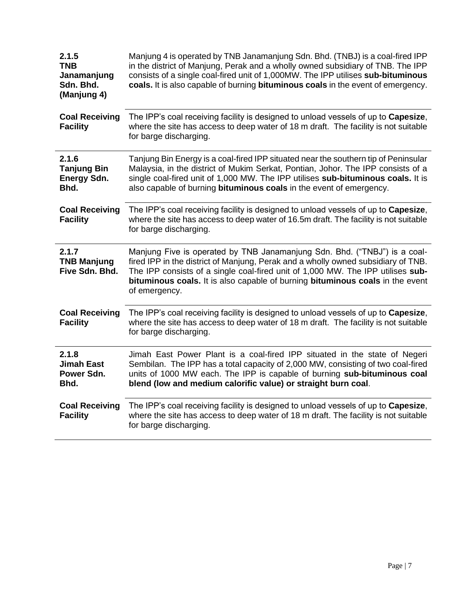| 2.1.5<br><b>TNB</b><br>Janamanjung<br>Sdn. Bhd.<br>(Manjung 4) | Manjung 4 is operated by TNB Janamanjung Sdn. Bhd. (TNBJ) is a coal-fired IPP<br>in the district of Manjung, Perak and a wholly owned subsidiary of TNB. The IPP<br>consists of a single coal-fired unit of 1,000MW. The IPP utilises sub-bituminous<br>coals. It is also capable of burning bituminous coals in the event of emergency.            |
|----------------------------------------------------------------|-----------------------------------------------------------------------------------------------------------------------------------------------------------------------------------------------------------------------------------------------------------------------------------------------------------------------------------------------------|
| <b>Coal Receiving</b><br><b>Facility</b>                       | The IPP's coal receiving facility is designed to unload vessels of up to Capesize,<br>where the site has access to deep water of 18 m draft. The facility is not suitable<br>for barge discharging.                                                                                                                                                 |
| 2.1.6<br><b>Tanjung Bin</b><br><b>Energy Sdn.</b><br>Bhd.      | Tanjung Bin Energy is a coal-fired IPP situated near the southern tip of Peninsular<br>Malaysia, in the district of Mukim Serkat, Pontian, Johor. The IPP consists of a<br>single coal-fired unit of 1,000 MW. The IPP utilises sub-bituminous coals. It is<br>also capable of burning bituminous coals in the event of emergency.                  |
| <b>Coal Receiving</b><br><b>Facility</b>                       | The IPP's coal receiving facility is designed to unload vessels of up to Capesize,<br>where the site has access to deep water of 16.5m draft. The facility is not suitable<br>for barge discharging.                                                                                                                                                |
| 2.1.7<br><b>TNB Manjung</b><br>Five Sdn. Bhd.                  | Manjung Five is operated by TNB Janamanjung Sdn. Bhd. ("TNBJ") is a coal-<br>fired IPP in the district of Manjung, Perak and a wholly owned subsidiary of TNB.<br>The IPP consists of a single coal-fired unit of 1,000 MW. The IPP utilises sub-<br>bituminous coals. It is also capable of burning bituminous coals in the event<br>of emergency. |
| <b>Coal Receiving</b><br><b>Facility</b>                       | The IPP's coal receiving facility is designed to unload vessels of up to Capesize,<br>where the site has access to deep water of 18 m draft. The facility is not suitable<br>for barge discharging.                                                                                                                                                 |
| 2.1.8<br><b>Jimah East</b><br>Power Sdn.<br>Bhd.               | Jimah East Power Plant is a coal-fired IPP situated in the state of Negeri<br>Sembilan. The IPP has a total capacity of 2,000 MW, consisting of two coal-fired<br>units of 1000 MW each. The IPP is capable of burning sub-bituminous coal<br>blend (low and medium calorific value) or straight burn coal.                                         |
| <b>Coal Receiving</b><br><b>Facility</b>                       | The IPP's coal receiving facility is designed to unload vessels of up to Capesize,<br>where the site has access to deep water of 18 m draft. The facility is not suitable<br>for barge discharging.                                                                                                                                                 |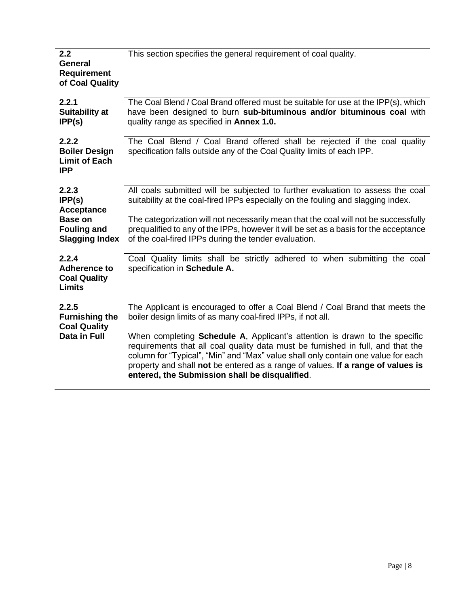| 2.2<br><b>General</b><br><b>Requirement</b><br>of Coal Quality                                        | This section specifies the general requirement of coal quality.                                                                                                                                                                                                                                                                                                                                                                                                                                                                                  |
|-------------------------------------------------------------------------------------------------------|--------------------------------------------------------------------------------------------------------------------------------------------------------------------------------------------------------------------------------------------------------------------------------------------------------------------------------------------------------------------------------------------------------------------------------------------------------------------------------------------------------------------------------------------------|
| 2.2.1<br>Suitability at<br>IPP(s)                                                                     | The Coal Blend / Coal Brand offered must be suitable for use at the IPP(s), which<br>have been designed to burn sub-bituminous and/or bituminous coal with<br>quality range as specified in <b>Annex 1.0.</b>                                                                                                                                                                                                                                                                                                                                    |
| 2.2.2<br><b>Boiler Design</b><br><b>Limit of Each</b><br><b>IPP</b>                                   | The Coal Blend / Coal Brand offered shall be rejected if the coal quality<br>specification falls outside any of the Coal Quality limits of each IPP.                                                                                                                                                                                                                                                                                                                                                                                             |
| 2.2.3<br>IPP(s)<br><b>Acceptance</b><br><b>Base on</b><br><b>Fouling and</b><br><b>Slagging Index</b> | All coals submitted will be subjected to further evaluation to assess the coal<br>suitability at the coal-fired IPPs especially on the fouling and slagging index.<br>The categorization will not necessarily mean that the coal will not be successfully<br>prequalified to any of the IPPs, however it will be set as a basis for the acceptance<br>of the coal-fired IPPs during the tender evaluation.                                                                                                                                       |
| 2.2.4<br><b>Adherence to</b><br><b>Coal Quality</b><br><b>Limits</b>                                  | Coal Quality limits shall be strictly adhered to when submitting the coal<br>specification in Schedule A.                                                                                                                                                                                                                                                                                                                                                                                                                                        |
| 2.2.5<br><b>Furnishing the</b><br><b>Coal Quality</b><br>Data in Full                                 | The Applicant is encouraged to offer a Coal Blend / Coal Brand that meets the<br>boiler design limits of as many coal-fired IPPs, if not all.<br>When completing <b>Schedule A</b> , Applicant's attention is drawn to the specific<br>requirements that all coal quality data must be furnished in full, and that the<br>column for "Typical", "Min" and "Max" value shall only contain one value for each<br>property and shall not be entered as a range of values. If a range of values is<br>entered, the Submission shall be disqualified. |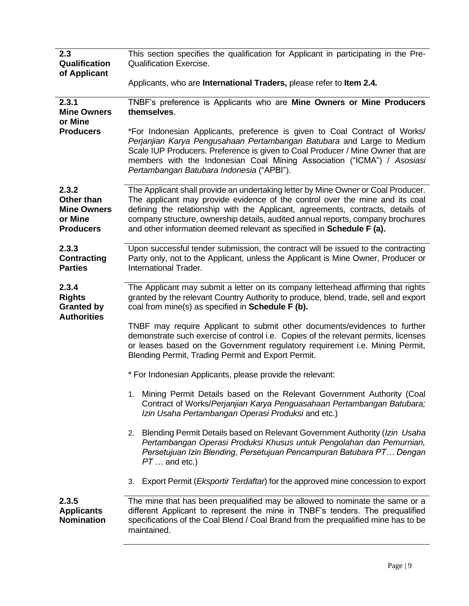| 2.3                | This section specifies the qualification for Applicant in participating in the Pre-           |
|--------------------|-----------------------------------------------------------------------------------------------|
| Qualification      | <b>Qualification Exercise.</b>                                                                |
| of Applicant       |                                                                                               |
|                    | Applicants, who are International Traders, please refer to Item 2.4.                          |
|                    |                                                                                               |
| 2.3.1              | TNBF's preference is Applicants who are Mine Owners or Mine Producers                         |
| <b>Mine Owners</b> | themselves.                                                                                   |
| or Mine            |                                                                                               |
| <b>Producers</b>   | *For Indonesian Applicants, preference is given to Coal Contract of Works/                    |
|                    | Perjanjian Karya Pengusahaan Pertambangan Batubara and Large to Medium                        |
|                    | Scale IUP Producers. Preference is given to Coal Producer / Mine Owner that are               |
|                    | members with the Indonesian Coal Mining Association ("ICMA") / Asosiasi                       |
|                    | Pertambangan Batubara Indonesia ("APBI").                                                     |
|                    |                                                                                               |
| 2.3.2              | The Applicant shall provide an undertaking letter by Mine Owner or Coal Producer.             |
| Other than         | The applicant may provide evidence of the control over the mine and its coal                  |
| <b>Mine Owners</b> | defining the relationship with the Applicant, agreements, contracts, details of               |
| or Mine            | company structure, ownership details, audited annual reports, company brochures               |
| <b>Producers</b>   | and other information deemed relevant as specified in Schedule F (a).                         |
|                    |                                                                                               |
| 2.3.3              | Upon successful tender submission, the contract will be issued to the contracting             |
| <b>Contracting</b> | Party only, not to the Applicant, unless the Applicant is Mine Owner, Producer or             |
| <b>Parties</b>     | International Trader.                                                                         |
| 2.3.4              | The Applicant may submit a letter on its company letterhead affirming that rights             |
| <b>Rights</b>      | granted by the relevant Country Authority to produce, blend, trade, sell and export           |
| <b>Granted by</b>  | coal from mine(s) as specified in Schedule F (b).                                             |
| <b>Authorities</b> |                                                                                               |
|                    | TNBF may require Applicant to submit other documents/evidences to further                     |
|                    | demonstrate such exercise of control i.e. Copies of the relevant permits, licenses            |
|                    | or leases based on the Government regulatory requirement i.e. Mining Permit,                  |
|                    | Blending Permit, Trading Permit and Export Permit.                                            |
|                    | * For Indonesian Applicants, please provide the relevant:                                     |
|                    |                                                                                               |
|                    | Mining Permit Details based on the Relevant Government Authority (Coal                        |
|                    | Contract of Works/Perjanjian Karya Penguasahaan Pertambangan Batubara;                        |
|                    | Izin Usaha Pertambangan Operasi Produksi and etc.)                                            |
|                    |                                                                                               |
|                    | Blending Permit Details based on Relevant Government Authority (Izin Usaha<br>2.              |
|                    | Pertambangan Operasi Produksi Khusus untuk Pengolahan dan Pemurnian,                          |
|                    | Persetujuan Izin Blending, Persetujuan Pencampuran Batubara PT Dengan                         |
|                    | $PT \dots$ and etc.)                                                                          |
|                    | Export Permit ( <i>Eksportir Terdaftar</i> ) for the approved mine concession to export<br>3. |
|                    |                                                                                               |
| 2.3.5              | The mine that has been prequalified may be allowed to nominate the same or a                  |
| <b>Applicants</b>  | different Applicant to represent the mine in TNBF's tenders. The prequalified                 |
| <b>Nomination</b>  | specifications of the Coal Blend / Coal Brand from the prequalified mine has to be            |
|                    | maintained.                                                                                   |
|                    |                                                                                               |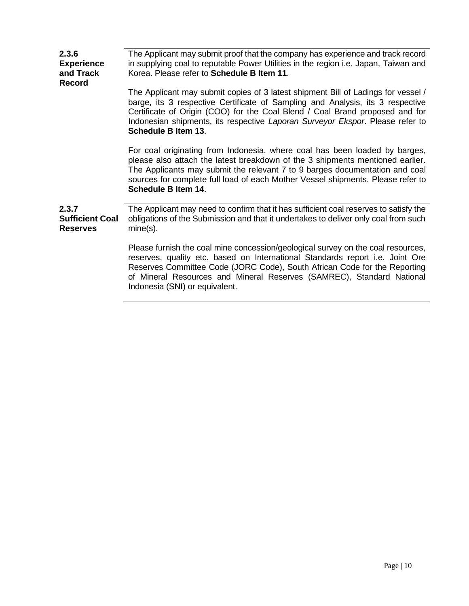| 2.3.6<br><b>Experience</b><br>and Track<br><b>Record</b> | The Applicant may submit proof that the company has experience and track record<br>in supplying coal to reputable Power Utilities in the region i.e. Japan, Taiwan and<br>Korea. Please refer to Schedule B Item 11.                                                                                                                                        |
|----------------------------------------------------------|-------------------------------------------------------------------------------------------------------------------------------------------------------------------------------------------------------------------------------------------------------------------------------------------------------------------------------------------------------------|
|                                                          | The Applicant may submit copies of 3 latest shipment Bill of Ladings for vessel /<br>barge, its 3 respective Certificate of Sampling and Analysis, its 3 respective<br>Certificate of Origin (COO) for the Coal Blend / Coal Brand proposed and for<br>Indonesian shipments, its respective Laporan Surveyor Ekspor. Please refer to<br>Schedule B Item 13. |
|                                                          | For coal originating from Indonesia, where coal has been loaded by barges,<br>please also attach the latest breakdown of the 3 shipments mentioned earlier.<br>The Applicants may submit the relevant 7 to 9 barges documentation and coal<br>sources for complete full load of each Mother Vessel shipments. Please refer to<br>Schedule B Item 14.        |
| 2.3.7<br><b>Sufficient Coal</b><br><b>Reserves</b>       | The Applicant may need to confirm that it has sufficient coal reserves to satisfy the<br>obligations of the Submission and that it undertakes to deliver only coal from such<br>mine(s).                                                                                                                                                                    |
|                                                          | Please furnish the coal mine concession/geological survey on the coal resources,<br>reserves, quality etc. based on International Standards report i.e. Joint Ore<br>Reserves Committee Code (JORC Code), South African Code for the Reporting<br>of Mineral Resources and Mineral Reserves (SAMREC), Standard National<br>Indonesia (SNI) or equivalent.   |
|                                                          |                                                                                                                                                                                                                                                                                                                                                             |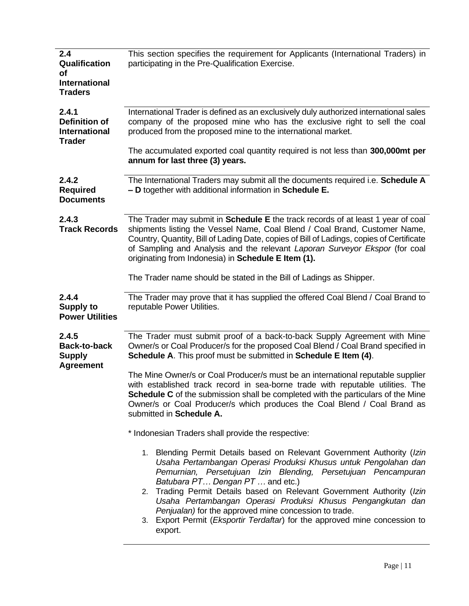| This section specifies the requirement for Applicants (International Traders) in<br>participating in the Pre-Qualification Exercise.                                                                                                                                                                                                                                                                                                                                                                                               |
|------------------------------------------------------------------------------------------------------------------------------------------------------------------------------------------------------------------------------------------------------------------------------------------------------------------------------------------------------------------------------------------------------------------------------------------------------------------------------------------------------------------------------------|
| International Trader is defined as an exclusively duly authorized international sales<br>company of the proposed mine who has the exclusive right to sell the coal<br>produced from the proposed mine to the international market.<br>The accumulated exported coal quantity required is not less than 300,000mt per<br>annum for last three (3) years.                                                                                                                                                                            |
| The International Traders may submit all the documents required i.e. Schedule A<br>- D together with additional information in Schedule E.                                                                                                                                                                                                                                                                                                                                                                                         |
| The Trader may submit in Schedule E the track records of at least 1 year of coal<br>shipments listing the Vessel Name, Coal Blend / Coal Brand, Customer Name,<br>Country, Quantity, Bill of Lading Date, copies of Bill of Ladings, copies of Certificate<br>of Sampling and Analysis and the relevant Laporan Surveyor Ekspor (for coal<br>originating from Indonesia) in Schedule E Item (1).<br>The Trader name should be stated in the Bill of Ladings as Shipper.                                                            |
| The Trader may prove that it has supplied the offered Coal Blend / Coal Brand to<br>reputable Power Utilities.                                                                                                                                                                                                                                                                                                                                                                                                                     |
| The Trader must submit proof of a back-to-back Supply Agreement with Mine<br>Owner/s or Coal Producer/s for the proposed Coal Blend / Coal Brand specified in<br>Schedule A. This proof must be submitted in Schedule E Item (4).                                                                                                                                                                                                                                                                                                  |
| The Mine Owner/s or Coal Producer/s must be an international reputable supplier<br>with established track record in sea-borne trade with reputable utilities. The<br><b>Schedule C</b> of the submission shall be completed with the particulars of the Mine<br>Owner/s or Coal Producer/s which produces the Coal Blend / Coal Brand as<br>submitted in Schedule A.                                                                                                                                                               |
| * Indonesian Traders shall provide the respective:                                                                                                                                                                                                                                                                                                                                                                                                                                                                                 |
| 1. Blending Permit Details based on Relevant Government Authority (Izin<br>Usaha Pertambangan Operasi Produksi Khusus untuk Pengolahan dan<br>Pemurnian, Persetujuan Izin Blending, Persetujuan Pencampuran<br>Batubara PT Dengan PT  and etc.)<br>2. Trading Permit Details based on Relevant Government Authority (Izin<br>Usaha Pertambangan Operasi Produksi Khusus Pengangkutan dan<br>Penjualan) for the approved mine concession to trade.<br>Export Permit (Eksportir Terdaftar) for the approved mine concession to<br>3. |
|                                                                                                                                                                                                                                                                                                                                                                                                                                                                                                                                    |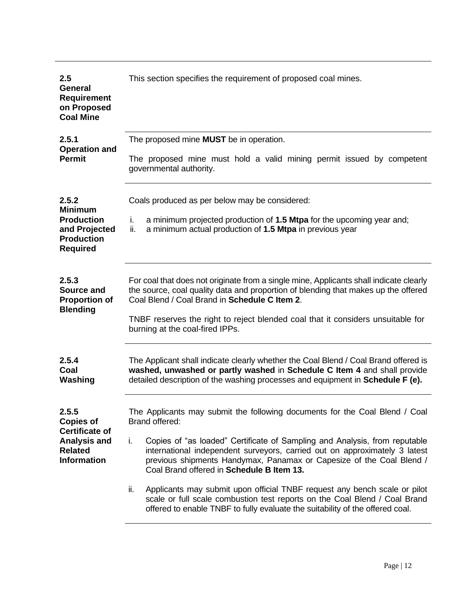| 2.5<br><b>General</b><br><b>Requirement</b><br>on Proposed<br><b>Coal Mine</b>                                    | This section specifies the requirement of proposed coal mines.                                                                                                                                                                                                                                                                                                                                                                                                                                                                                                                                                                          |  |  |
|-------------------------------------------------------------------------------------------------------------------|-----------------------------------------------------------------------------------------------------------------------------------------------------------------------------------------------------------------------------------------------------------------------------------------------------------------------------------------------------------------------------------------------------------------------------------------------------------------------------------------------------------------------------------------------------------------------------------------------------------------------------------------|--|--|
| 2.5.1<br><b>Operation and</b><br><b>Permit</b>                                                                    | The proposed mine <b>MUST</b> be in operation.<br>The proposed mine must hold a valid mining permit issued by competent<br>governmental authority.                                                                                                                                                                                                                                                                                                                                                                                                                                                                                      |  |  |
| 2.5.2<br><b>Minimum</b><br><b>Production</b><br>and Projected<br><b>Production</b><br><b>Required</b>             | Coals produced as per below may be considered:<br>a minimum projected production of 1.5 Mtpa for the upcoming year and;<br>i.<br>a minimum actual production of 1.5 Mtpa in previous year<br>ii.                                                                                                                                                                                                                                                                                                                                                                                                                                        |  |  |
| 2.5.3<br><b>Source and</b><br><b>Proportion of</b><br><b>Blending</b>                                             | For coal that does not originate from a single mine, Applicants shall indicate clearly<br>the source, coal quality data and proportion of blending that makes up the offered<br>Coal Blend / Coal Brand in Schedule C Item 2.<br>TNBF reserves the right to reject blended coal that it considers unsuitable for<br>burning at the coal-fired IPPs.                                                                                                                                                                                                                                                                                     |  |  |
| 2.5.4<br>Coal<br>Washing                                                                                          | The Applicant shall indicate clearly whether the Coal Blend / Coal Brand offered is<br>washed, unwashed or partly washed in Schedule C Item 4 and shall provide<br>detailed description of the washing processes and equipment in <b>Schedule F (e).</b>                                                                                                                                                                                                                                                                                                                                                                                |  |  |
| 2.5.5<br><b>Copies of</b><br><b>Certificate of</b><br><b>Analysis and</b><br><b>Related</b><br><b>Information</b> | The Applicants may submit the following documents for the Coal Blend / Coal<br>Brand offered:<br>Copies of "as loaded" Certificate of Sampling and Analysis, from reputable<br>i.<br>international independent surveyors, carried out on approximately 3 latest<br>previous shipments Handymax, Panamax or Capesize of the Coal Blend /<br>Coal Brand offered in Schedule B Item 13.<br>ii.<br>Applicants may submit upon official TNBF request any bench scale or pilot<br>scale or full scale combustion test reports on the Coal Blend / Coal Brand<br>offered to enable TNBF to fully evaluate the suitability of the offered coal. |  |  |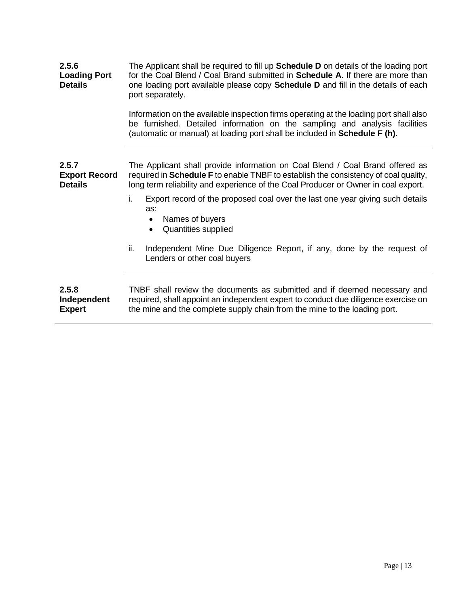| 2.5.6<br><b>Loading Port</b><br><b>Details</b>  | The Applicant shall be required to fill up <b>Schedule D</b> on details of the loading port<br>for the Coal Blend / Coal Brand submitted in Schedule A. If there are more than<br>one loading port available please copy <b>Schedule D</b> and fill in the details of each<br>port separately.<br>Information on the available inspection firms operating at the loading port shall also<br>be furnished. Detailed information on the sampling and analysis facilities<br>(automatic or manual) at loading port shall be included in Schedule F (h). |
|-------------------------------------------------|------------------------------------------------------------------------------------------------------------------------------------------------------------------------------------------------------------------------------------------------------------------------------------------------------------------------------------------------------------------------------------------------------------------------------------------------------------------------------------------------------------------------------------------------------|
|                                                 |                                                                                                                                                                                                                                                                                                                                                                                                                                                                                                                                                      |
| 2.5.7<br><b>Export Record</b><br><b>Details</b> | The Applicant shall provide information on Coal Blend / Coal Brand offered as<br>required in <b>Schedule F</b> to enable TNBF to establish the consistency of coal quality,<br>long term reliability and experience of the Coal Producer or Owner in coal export.                                                                                                                                                                                                                                                                                    |
|                                                 | i.<br>Export record of the proposed coal over the last one year giving such details<br>as:<br>Names of buyers<br>$\bullet$<br>Quantities supplied<br>$\bullet$                                                                                                                                                                                                                                                                                                                                                                                       |
|                                                 | ii.<br>Independent Mine Due Diligence Report, if any, done by the request of<br>Lenders or other coal buyers                                                                                                                                                                                                                                                                                                                                                                                                                                         |
| 2.5.8<br>Independent<br><b>Expert</b>           | TNBF shall review the documents as submitted and if deemed necessary and<br>required, shall appoint an independent expert to conduct due diligence exercise on<br>the mine and the complete supply chain from the mine to the loading port.                                                                                                                                                                                                                                                                                                          |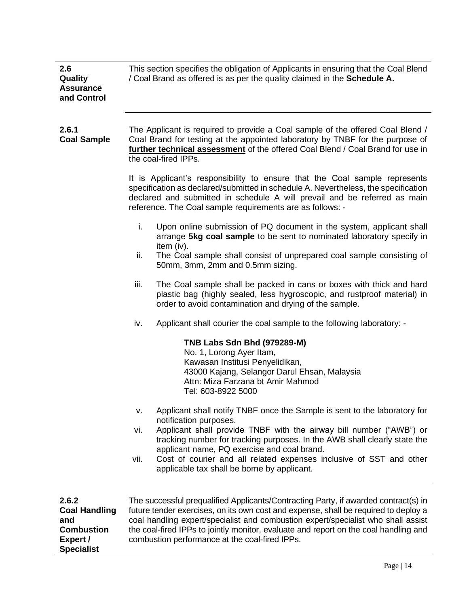| 2.6<br>Quality<br><b>Assurance</b><br>and Control                                          | This section specifies the obligation of Applicants in ensuring that the Coal Blend<br>/ Coal Brand as offered is as per the quality claimed in the Schedule A.                                                                                                                                                                                                                                                                                   |  |  |  |  |  |
|--------------------------------------------------------------------------------------------|---------------------------------------------------------------------------------------------------------------------------------------------------------------------------------------------------------------------------------------------------------------------------------------------------------------------------------------------------------------------------------------------------------------------------------------------------|--|--|--|--|--|
| 2.6.1<br><b>Coal Sample</b>                                                                | The Applicant is required to provide a Coal sample of the offered Coal Blend /<br>Coal Brand for testing at the appointed laboratory by TNBF for the purpose of<br>further technical assessment of the offered Coal Blend / Coal Brand for use in<br>the coal-fired IPPs.                                                                                                                                                                         |  |  |  |  |  |
|                                                                                            | It is Applicant's responsibility to ensure that the Coal sample represents<br>specification as declared/submitted in schedule A. Nevertheless, the specification<br>declared and submitted in schedule A will prevail and be referred as main<br>reference. The Coal sample requirements are as follows: -                                                                                                                                        |  |  |  |  |  |
|                                                                                            | i.<br>Upon online submission of PQ document in the system, applicant shall<br>arrange 5kg coal sample to be sent to nominated laboratory specify in<br>item (iv).                                                                                                                                                                                                                                                                                 |  |  |  |  |  |
|                                                                                            | ii.<br>The Coal sample shall consist of unprepared coal sample consisting of<br>50mm, 3mm, 2mm and 0.5mm sizing.                                                                                                                                                                                                                                                                                                                                  |  |  |  |  |  |
|                                                                                            | iii.<br>The Coal sample shall be packed in cans or boxes with thick and hard<br>plastic bag (highly sealed, less hygroscopic, and rustproof material) in<br>order to avoid contamination and drying of the sample.                                                                                                                                                                                                                                |  |  |  |  |  |
|                                                                                            | Applicant shall courier the coal sample to the following laboratory: -<br>iv.                                                                                                                                                                                                                                                                                                                                                                     |  |  |  |  |  |
|                                                                                            | TNB Labs Sdn Bhd (979289-M)<br>No. 1, Lorong Ayer Itam,<br>Kawasan Institusi Penyelidikan,<br>43000 Kajang, Selangor Darul Ehsan, Malaysia<br>Attn: Miza Farzana bt Amir Mahmod<br>Tel: 603-8922 5000                                                                                                                                                                                                                                             |  |  |  |  |  |
|                                                                                            | Applicant shall notify TNBF once the Sample is sent to the laboratory for<br>v.<br>notification purposes.<br>Applicant shall provide TNBF with the airway bill number ("AWB") or<br>vi.<br>tracking number for tracking purposes. In the AWB shall clearly state the<br>applicant name, PQ exercise and coal brand.<br>Cost of courier and all related expenses inclusive of SST and other<br>vii.<br>applicable tax shall be borne by applicant. |  |  |  |  |  |
| 2.6.2<br><b>Coal Handling</b><br>and<br><b>Combustion</b><br>Expert /<br><b>Specialist</b> | The successful prequalified Applicants/Contracting Party, if awarded contract(s) in<br>future tender exercises, on its own cost and expense, shall be required to deploy a<br>coal handling expert/specialist and combustion expert/specialist who shall assist<br>the coal-fired IPPs to jointly monitor, evaluate and report on the coal handling and<br>combustion performance at the coal-fired IPPs.                                         |  |  |  |  |  |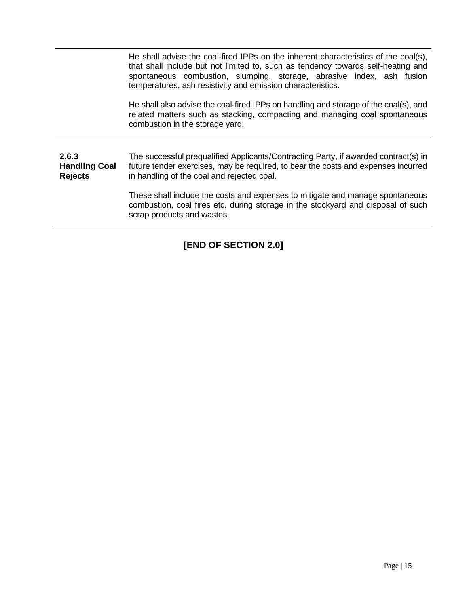He shall advise the coal-fired IPPs on the inherent characteristics of the coal(s), that shall include but not limited to, such as tendency towards self-heating and spontaneous combustion, slumping, storage, abrasive index, ash fusion temperatures, ash resistivity and emission characteristics.

He shall also advise the coal-fired IPPs on handling and storage of the coal(s), and related matters such as stacking, compacting and managing coal spontaneous combustion in the storage yard.

**2.6.3 Handling Coal Rejects** The successful prequalified Applicants/Contracting Party, if awarded contract(s) in future tender exercises, may be required, to bear the costs and expenses incurred in handling of the coal and rejected coal.

> These shall include the costs and expenses to mitigate and manage spontaneous combustion, coal fires etc. during storage in the stockyard and disposal of such scrap products and wastes.

### **[END OF SECTION 2.0]**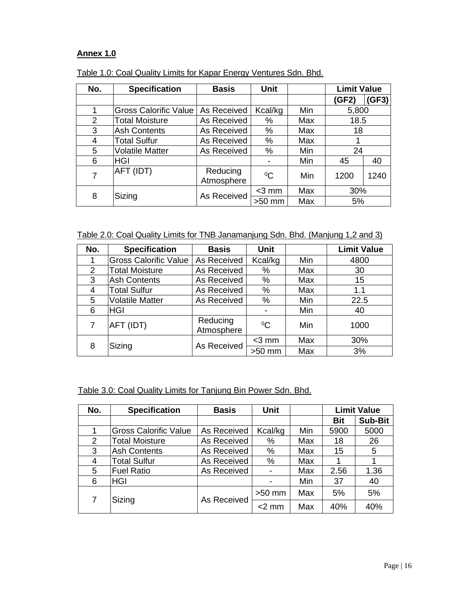#### **Annex 1.0**

| No. | <b>Specification</b>         | <b>Basis</b>           | <b>Unit</b> |     | <b>Limit Value</b> |       |
|-----|------------------------------|------------------------|-------------|-----|--------------------|-------|
|     |                              |                        |             |     | (GF2)              | (GF3) |
| 1   | <b>Gross Calorific Value</b> | As Received            | Kcal/kg     | Min | 5,800              |       |
| 2   | <b>Total Moisture</b>        | As Received            | $\%$        | Max | 18.5               |       |
| 3   | <b>Ash Contents</b>          | As Received            | $\%$        | Max | 18                 |       |
| 4   | <b>Total Sulfur</b>          | As Received            | %           | Max |                    |       |
| 5   | <b>Volatile Matter</b>       | As Received            | %           | Min | 24                 |       |
| 6   | <b>HGI</b>                   |                        |             | Min | 45                 | 40    |
| 7   | AFT (IDT)                    | Reducing<br>Atmosphere | $^{0}C$     | Min | 1200               | 1240  |
| 8   |                              | As Received            | $<$ 3 mm    | Max | 30%                |       |
|     | Sizing                       |                        | $>50$ mm    | Max | 5%                 |       |

|  | Table 1.0: Coal Quality Limits for Kapar Energy Ventures Sdn. Bhd. |
|--|--------------------------------------------------------------------|
|  |                                                                    |

Table 2.0: Coal Quality Limits for TNB Janamanjung Sdn. Bhd. (Manjung 1,2 and 3)

| No.            | <b>Specification</b>         | <b>Basis</b>           | <b>Unit</b> |     | <b>Limit Value</b> |
|----------------|------------------------------|------------------------|-------------|-----|--------------------|
|                | <b>Gross Calorific Value</b> | As Received            | Kcal/kg     | Min | 4800               |
| $\overline{2}$ | <b>Total Moisture</b>        | As Received            | %           | Max | 30                 |
| 3              | <b>Ash Contents</b>          | As Received            | $\%$        | Max | 15                 |
| 4              | <b>Total Sulfur</b>          | As Received            | %           | Max | 1.1                |
| 5              | <b>Volatile Matter</b>       | As Received            | $\%$        | Min | 22.5               |
| 6              | <b>HGI</b>                   |                        |             | Min | 40                 |
| 7              | AFT (IDT)                    | Reducing<br>Atmosphere | $^{0}C$     | Min | 1000               |
| 8              |                              | As Received            | $<$ 3 mm    | Max | 30%                |
|                | Sizing                       |                        | $>50$ mm    | Max | 3%                 |

#### Table 3.0: Coal Quality Limits for Tanjung Bin Power Sdn. Bhd.

| No. | <b>Specification</b>         | <b>Basis</b> | <b>Unit</b> |     |            | <b>Limit Value</b> |
|-----|------------------------------|--------------|-------------|-----|------------|--------------------|
|     |                              |              |             |     | <b>Bit</b> | <b>Sub-Bit</b>     |
|     | <b>Gross Calorific Value</b> | As Received  | Kcal/kg     | Min | 5900       | 5000               |
| 2   | <b>Total Moisture</b>        | As Received  | %           | Max | 18         | 26                 |
| 3   | <b>Ash Contents</b>          | As Received  | %           | Max | 15         | 5                  |
| 4   | <b>Total Sulfur</b>          | As Received  | %           | Max |            |                    |
| 5   | <b>Fuel Ratio</b>            | As Received  |             | Max | 2.56       | 1.36               |
| 6   | <b>HGI</b>                   |              |             | Min | 37         | 40                 |
| 7   | Sizing                       | As Received  | $>50$ mm    | Max | 5%         | 5%                 |
|     |                              |              | $<$ 2 mm    | Max | 40%        | 40%                |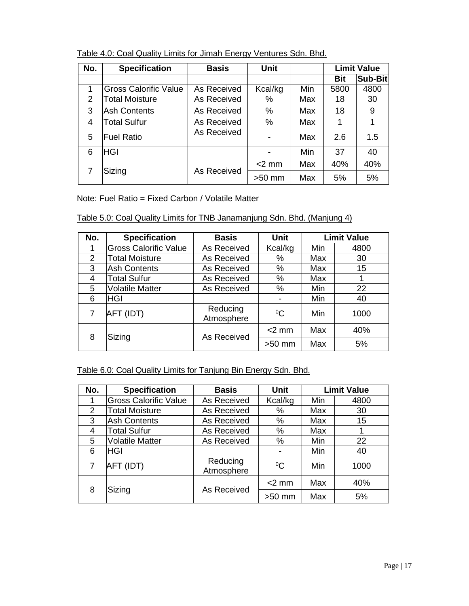| No. | <b>Specification</b>         | <b>Basis</b>                  | <b>Unit</b> |      |            | <b>Limit Value</b> |
|-----|------------------------------|-------------------------------|-------------|------|------------|--------------------|
|     |                              |                               |             |      | <b>Bit</b> | Sub-Bit            |
| 1   | <b>Gross Calorific Value</b> | As Received<br>Min<br>Kcal/kg |             | 5800 | 4800       |                    |
| 2   | <b>Total Moisture</b>        | As Received                   | %           | Max  | 18         | 30                 |
| 3   | <b>Ash Contents</b>          | %<br>As Received<br>Max       |             | 18   | 9          |                    |
| 4   | <b>Total Sulfur</b>          | As Received                   | %<br>Max    |      | 1          | 1                  |
| 5   | <b>Fuel Ratio</b>            | As Received                   |             | Max  | 2.6        | 1.5                |
| 6   | <b>HGI</b>                   |                               |             | Min  | 37         | 40                 |
|     | Sizing                       | As Received                   | $<$ 2 mm    | Max  | 40%        | 40%                |
|     |                              |                               | $>50$ mm    | Max  | 5%         | 5%                 |

Table 4.0: Coal Quality Limits for Jimah Energy Ventures Sdn. Bhd.

Note: Fuel Ratio = Fixed Carbon / Volatile Matter

| Table 5.0: Coal Quality Limits for TNB Janamanjung Sdn. Bhd. (Manjung 4) |  |  |
|--------------------------------------------------------------------------|--|--|
|                                                                          |  |  |

| No. | <b>Specification</b>         | <b>Basis</b>           | <b>Unit</b> | <b>Limit Value</b> |      |
|-----|------------------------------|------------------------|-------------|--------------------|------|
|     | <b>Gross Calorific Value</b> | As Received            | Kcal/kg     | Min                | 4800 |
| 2   | <b>Total Moisture</b>        | As Received            | ℅           | Max                | 30   |
| 3   | <b>Ash Contents</b>          | As Received            | %           | Max                | 15   |
| 4   | Total Sulfur                 | As Received            | %           | Max                |      |
| 5   | <b>Volatile Matter</b>       | As Received            | %           | Min                | 22   |
| 6   | <b>HGI</b>                   |                        |             | Min                | 40   |
| 7   | AFT (IDT)                    | Reducing<br>Atmosphere | $^{0}C$     | Min                | 1000 |
| 8   |                              | As Received            | $<$ 2 mm    | Max                | 40%  |
|     | Sizing                       |                        | $>50$ mm    | Max                | 5%   |

Table 6.0: Coal Quality Limits for Tanjung Bin Energy Sdn. Bhd.

| No.            | <b>Specification</b>         | <b>Basis</b>           | <b>Unit</b>              | <b>Limit Value</b> |      |
|----------------|------------------------------|------------------------|--------------------------|--------------------|------|
|                | <b>Gross Calorific Value</b> | As Received            | Kcal/kg                  | Min                | 4800 |
| $\overline{2}$ | <b>Total Moisture</b>        | As Received            | %                        | Max                | 30   |
| 3              | <b>Ash Contents</b>          | As Received            | %                        | Max                | 15   |
| 4              | <b>Total Sulfur</b>          | As Received            | %                        | Max                |      |
| 5              | <b>Volatile Matter</b>       | As Received            | $\%$                     | Min                | 22   |
| 6              | <b>HGI</b>                   |                        | $\overline{\phantom{0}}$ | Min                | 40   |
| 7              | AFT (IDT)                    | Reducing<br>Atmosphere | $^{0}C$                  | Min                | 1000 |
| 8              |                              | As Received            | $<$ 2 mm                 | Max                | 40%  |
|                | Sizing                       |                        | $>50$ mm                 | Max                | 5%   |